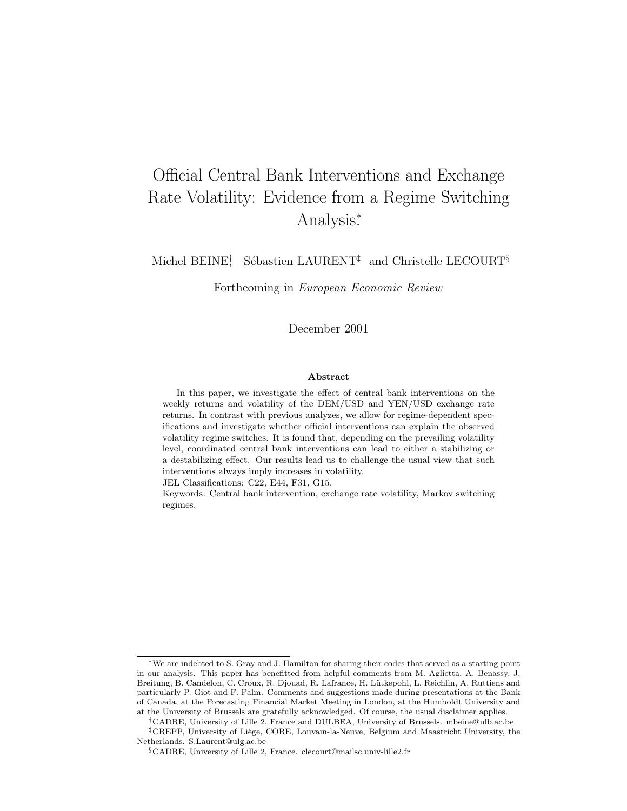# Official Central Bank Interventions and Exchange Rate Volatility: Evidence from a Regime Switching Analysis<sup>∗</sup> .

Michel BEINE<sup>†</sup> Sébastien LAURENT<sup>‡</sup> and Christelle LECOURT<sup>§</sup>

Forthcoming in European Economic Review

December 2001

### Abstract

In this paper, we investigate the effect of central bank interventions on the weekly returns and volatility of the DEM/USD and YEN/USD exchange rate returns. In contrast with previous analyzes, we allow for regime-dependent specifications and investigate whether official interventions can explain the observed volatility regime switches. It is found that, depending on the prevailing volatility level, coordinated central bank interventions can lead to either a stabilizing or a destabilizing effect. Our results lead us to challenge the usual view that such interventions always imply increases in volatility.

JEL Classifications: C22, E44, F31, G15.

Keywords: Central bank intervention, exchange rate volatility, Markov switching regimes.

<sup>∗</sup>We are indebted to S. Gray and J. Hamilton for sharing their codes that served as a starting point in our analysis. This paper has benefitted from helpful comments from M. Aglietta, A. Benassy, J. Breitung, B. Candelon, C. Croux, R. Djouad, R. Lafrance, H. Lütkepohl, L. Reichlin, A. Ruttiens and particularly P. Giot and F. Palm. Comments and suggestions made during presentations at the Bank of Canada, at the Forecasting Financial Market Meeting in London, at the Humboldt University and at the University of Brussels are gratefully acknowledged. Of course, the usual disclaimer applies.

<sup>†</sup>CADRE, University of Lille 2, France and DULBEA, University of Brussels. mbeine@ulb.ac.be <sup>‡</sup>CREPP, University of Liège, CORE, Louvain-la-Neuve, Belgium and Maastricht University, the Netherlands. S.Laurent@ulg.ac.be

<sup>§</sup>CADRE, University of Lille 2, France. clecourt@mailsc.univ-lille2.fr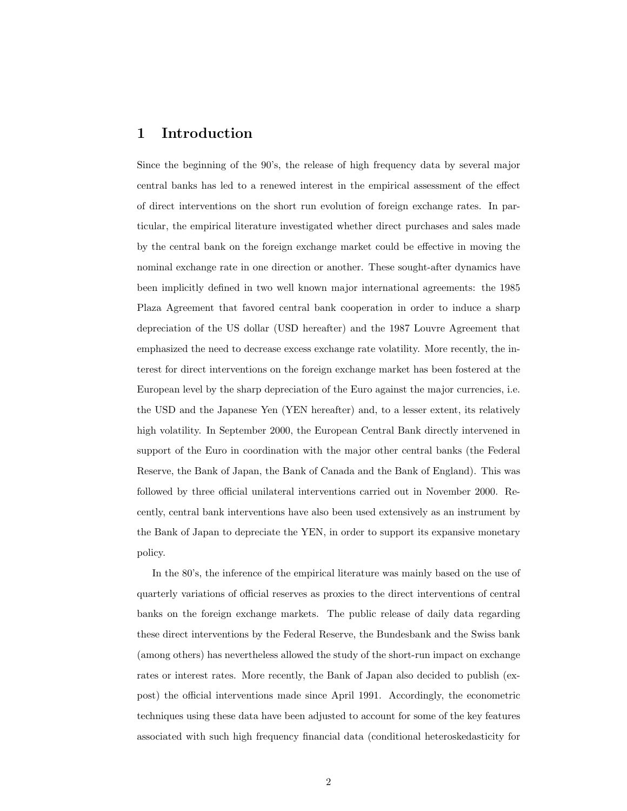## 1 Introduction

Since the beginning of the 90's, the release of high frequency data by several major central banks has led to a renewed interest in the empirical assessment of the effect of direct interventions on the short run evolution of foreign exchange rates. In particular, the empirical literature investigated whether direct purchases and sales made by the central bank on the foreign exchange market could be effective in moving the nominal exchange rate in one direction or another. These sought-after dynamics have been implicitly defined in two well known major international agreements: the 1985 Plaza Agreement that favored central bank cooperation in order to induce a sharp depreciation of the US dollar (USD hereafter) and the 1987 Louvre Agreement that emphasized the need to decrease excess exchange rate volatility. More recently, the interest for direct interventions on the foreign exchange market has been fostered at the European level by the sharp depreciation of the Euro against the major currencies, i.e. the USD and the Japanese Yen (YEN hereafter) and, to a lesser extent, its relatively high volatility. In September 2000, the European Central Bank directly intervened in support of the Euro in coordination with the major other central banks (the Federal Reserve, the Bank of Japan, the Bank of Canada and the Bank of England). This was followed by three official unilateral interventions carried out in November 2000. Recently, central bank interventions have also been used extensively as an instrument by the Bank of Japan to depreciate the YEN, in order to support its expansive monetary policy.

In the 80's, the inference of the empirical literature was mainly based on the use of quarterly variations of official reserves as proxies to the direct interventions of central banks on the foreign exchange markets. The public release of daily data regarding these direct interventions by the Federal Reserve, the Bundesbank and the Swiss bank (among others) has nevertheless allowed the study of the short-run impact on exchange rates or interest rates. More recently, the Bank of Japan also decided to publish (expost) the official interventions made since April 1991. Accordingly, the econometric techniques using these data have been adjusted to account for some of the key features associated with such high frequency financial data (conditional heteroskedasticity for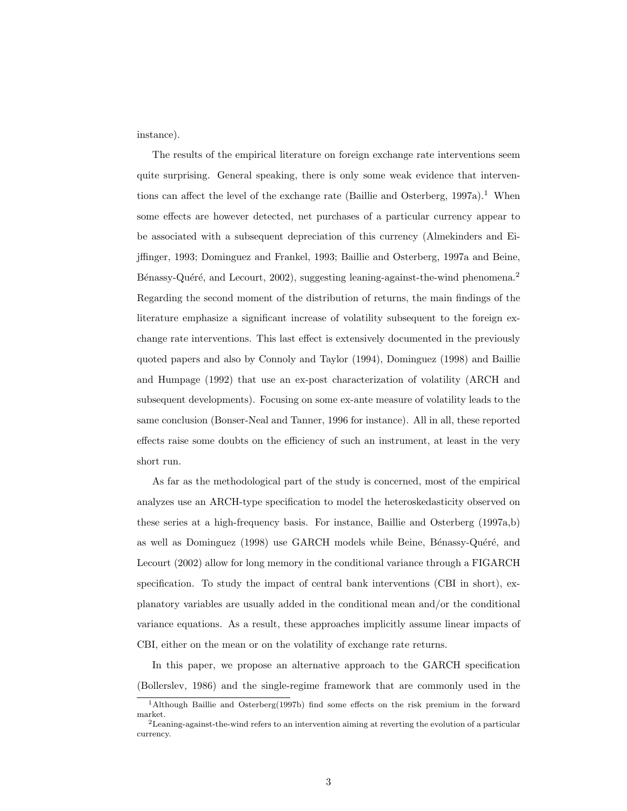instance).

The results of the empirical literature on foreign exchange rate interventions seem quite surprising. General speaking, there is only some weak evidence that interventions can affect the level of the exchange rate (Baillie and Osterberg,  $1997a$ ).<sup>1</sup> When some effects are however detected, net purchases of a particular currency appear to be associated with a subsequent depreciation of this currency (Almekinders and Eijffinger, 1993; Dominguez and Frankel, 1993; Baillie and Osterberg, 1997a and Beine, Bénassy-Quéré, and Lecourt, 2002), suggesting leaning-against-the-wind phenomena.<sup>2</sup> Regarding the second moment of the distribution of returns, the main findings of the literature emphasize a significant increase of volatility subsequent to the foreign exchange rate interventions. This last effect is extensively documented in the previously quoted papers and also by Connoly and Taylor (1994), Dominguez (1998) and Baillie and Humpage (1992) that use an ex-post characterization of volatility (ARCH and subsequent developments). Focusing on some ex-ante measure of volatility leads to the same conclusion (Bonser-Neal and Tanner, 1996 for instance). All in all, these reported effects raise some doubts on the efficiency of such an instrument, at least in the very short run.

As far as the methodological part of the study is concerned, most of the empirical analyzes use an ARCH-type specification to model the heteroskedasticity observed on these series at a high-frequency basis. For instance, Baillie and Osterberg (1997a,b) as well as Dominguez (1998) use GARCH models while Beine, Bénassy-Quéré, and Lecourt (2002) allow for long memory in the conditional variance through a FIGARCH specification. To study the impact of central bank interventions (CBI in short), explanatory variables are usually added in the conditional mean and/or the conditional variance equations. As a result, these approaches implicitly assume linear impacts of CBI, either on the mean or on the volatility of exchange rate returns.

In this paper, we propose an alternative approach to the GARCH specification (Bollerslev, 1986) and the single-regime framework that are commonly used in the

<sup>1</sup>Although Baillie and Osterberg(1997b) find some effects on the risk premium in the forward market.

<sup>&</sup>lt;sup>2</sup>Leaning-against-the-wind refers to an intervention aiming at reverting the evolution of a particular currency.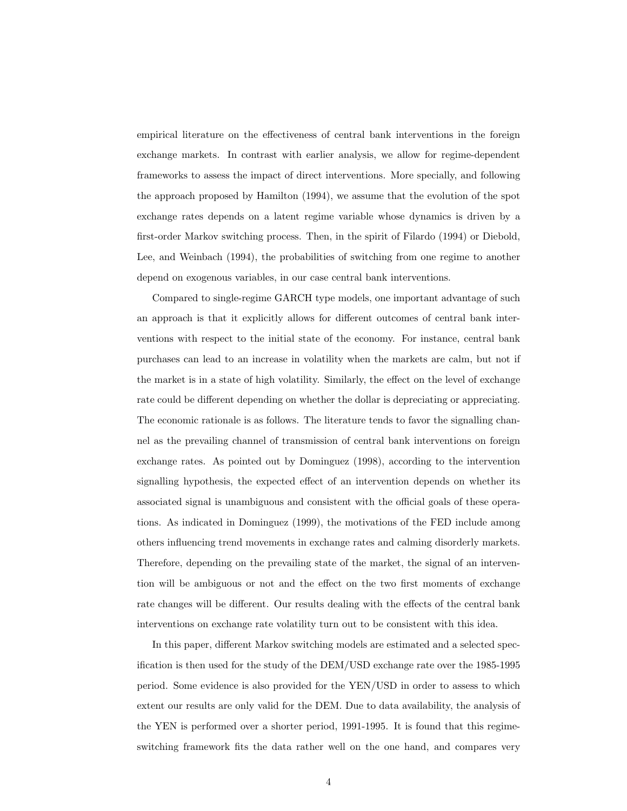empirical literature on the effectiveness of central bank interventions in the foreign exchange markets. In contrast with earlier analysis, we allow for regime-dependent frameworks to assess the impact of direct interventions. More specially, and following the approach proposed by Hamilton (1994), we assume that the evolution of the spot exchange rates depends on a latent regime variable whose dynamics is driven by a first-order Markov switching process. Then, in the spirit of Filardo (1994) or Diebold, Lee, and Weinbach (1994), the probabilities of switching from one regime to another depend on exogenous variables, in our case central bank interventions.

Compared to single-regime GARCH type models, one important advantage of such an approach is that it explicitly allows for different outcomes of central bank interventions with respect to the initial state of the economy. For instance, central bank purchases can lead to an increase in volatility when the markets are calm, but not if the market is in a state of high volatility. Similarly, the effect on the level of exchange rate could be different depending on whether the dollar is depreciating or appreciating. The economic rationale is as follows. The literature tends to favor the signalling channel as the prevailing channel of transmission of central bank interventions on foreign exchange rates. As pointed out by Dominguez (1998), according to the intervention signalling hypothesis, the expected effect of an intervention depends on whether its associated signal is unambiguous and consistent with the official goals of these operations. As indicated in Dominguez (1999), the motivations of the FED include among others influencing trend movements in exchange rates and calming disorderly markets. Therefore, depending on the prevailing state of the market, the signal of an intervention will be ambiguous or not and the effect on the two first moments of exchange rate changes will be different. Our results dealing with the effects of the central bank interventions on exchange rate volatility turn out to be consistent with this idea.

In this paper, different Markov switching models are estimated and a selected specification is then used for the study of the DEM/USD exchange rate over the 1985-1995 period. Some evidence is also provided for the YEN/USD in order to assess to which extent our results are only valid for the DEM. Due to data availability, the analysis of the YEN is performed over a shorter period, 1991-1995. It is found that this regimeswitching framework fits the data rather well on the one hand, and compares very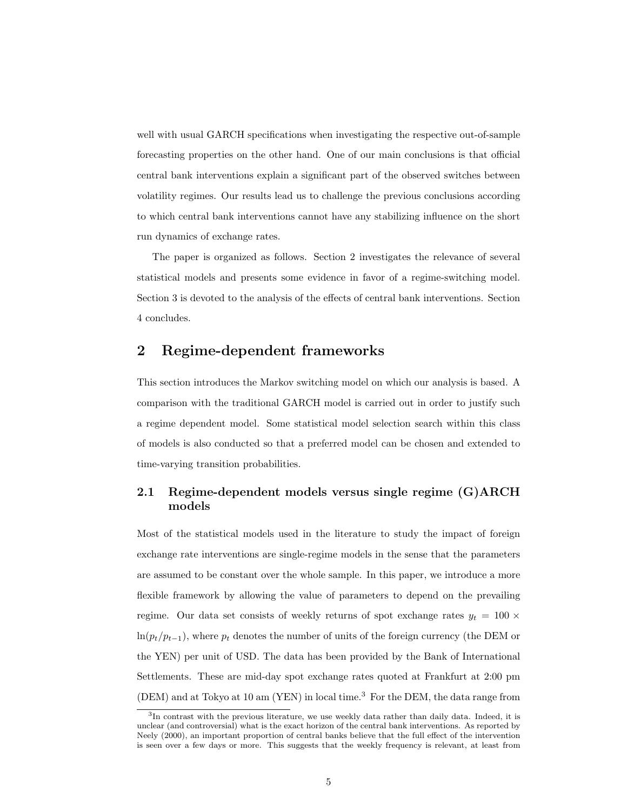well with usual GARCH specifications when investigating the respective out-of-sample forecasting properties on the other hand. One of our main conclusions is that official central bank interventions explain a significant part of the observed switches between volatility regimes. Our results lead us to challenge the previous conclusions according to which central bank interventions cannot have any stabilizing influence on the short run dynamics of exchange rates.

The paper is organized as follows. Section 2 investigates the relevance of several statistical models and presents some evidence in favor of a regime-switching model. Section 3 is devoted to the analysis of the effects of central bank interventions. Section 4 concludes.

## 2 Regime-dependent frameworks

This section introduces the Markov switching model on which our analysis is based. A comparison with the traditional GARCH model is carried out in order to justify such a regime dependent model. Some statistical model selection search within this class of models is also conducted so that a preferred model can be chosen and extended to time-varying transition probabilities.

### 2.1 Regime-dependent models versus single regime (G)ARCH models

Most of the statistical models used in the literature to study the impact of foreign exchange rate interventions are single-regime models in the sense that the parameters are assumed to be constant over the whole sample. In this paper, we introduce a more flexible framework by allowing the value of parameters to depend on the prevailing regime. Our data set consists of weekly returns of spot exchange rates  $y_t = 100 \times$  $ln(p_t/p_{t-1})$ , where  $p_t$  denotes the number of units of the foreign currency (the DEM or the YEN) per unit of USD. The data has been provided by the Bank of International Settlements. These are mid-day spot exchange rates quoted at Frankfurt at 2:00 pm (DEM) and at Tokyo at 10 am (YEN) in local time.<sup>3</sup> For the DEM, the data range from

<sup>&</sup>lt;sup>3</sup>In contrast with the previous literature, we use weekly data rather than daily data. Indeed, it is unclear (and controversial) what is the exact horizon of the central bank interventions. As reported by Neely (2000), an important proportion of central banks believe that the full effect of the intervention is seen over a few days or more. This suggests that the weekly frequency is relevant, at least from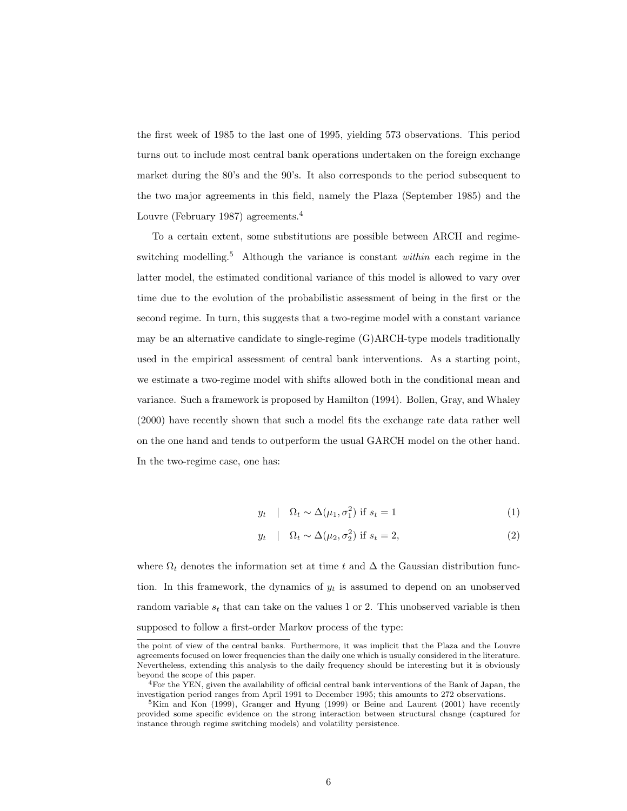the first week of 1985 to the last one of 1995, yielding 573 observations. This period turns out to include most central bank operations undertaken on the foreign exchange market during the 80's and the 90's. It also corresponds to the period subsequent to the two major agreements in this field, namely the Plaza (September 1985) and the Louvre (February 1987) agreements.<sup>4</sup>

To a certain extent, some substitutions are possible between ARCH and regimeswitching modelling.<sup>5</sup> Although the variance is constant *within* each regime in the latter model, the estimated conditional variance of this model is allowed to vary over time due to the evolution of the probabilistic assessment of being in the first or the second regime. In turn, this suggests that a two-regime model with a constant variance may be an alternative candidate to single-regime (G)ARCH-type models traditionally used in the empirical assessment of central bank interventions. As a starting point, we estimate a two-regime model with shifts allowed both in the conditional mean and variance. Such a framework is proposed by Hamilton (1994). Bollen, Gray, and Whaley (2000) have recently shown that such a model fits the exchange rate data rather well on the one hand and tends to outperform the usual GARCH model on the other hand. In the two-regime case, one has:

$$
y_t \quad | \quad \Omega_t \sim \Delta(\mu_1, \sigma_1^2) \text{ if } s_t = 1 \tag{1}
$$

$$
y_t \quad | \quad \Omega_t \sim \Delta(\mu_2, \sigma_2^2) \text{ if } s_t = 2,
$$
\n
$$
(2)
$$

where  $\Omega_t$  denotes the information set at time t and  $\Delta$  the Gaussian distribution function. In this framework, the dynamics of  $y_t$  is assumed to depend on an unobserved random variable  $s_t$  that can take on the values 1 or 2. This unobserved variable is then supposed to follow a first-order Markov process of the type:

the point of view of the central banks. Furthermore, it was implicit that the Plaza and the Louvre agreements focused on lower frequencies than the daily one which is usually considered in the literature. Nevertheless, extending this analysis to the daily frequency should be interesting but it is obviously beyond the scope of this paper.

<sup>&</sup>lt;sup>4</sup>For the YEN, given the availability of official central bank interventions of the Bank of Japan, the investigation period ranges from April 1991 to December 1995; this amounts to 272 observations.

 $5$ Kim and Kon (1999), Granger and Hyung (1999) or Beine and Laurent (2001) have recently provided some specific evidence on the strong interaction between structural change (captured for instance through regime switching models) and volatility persistence.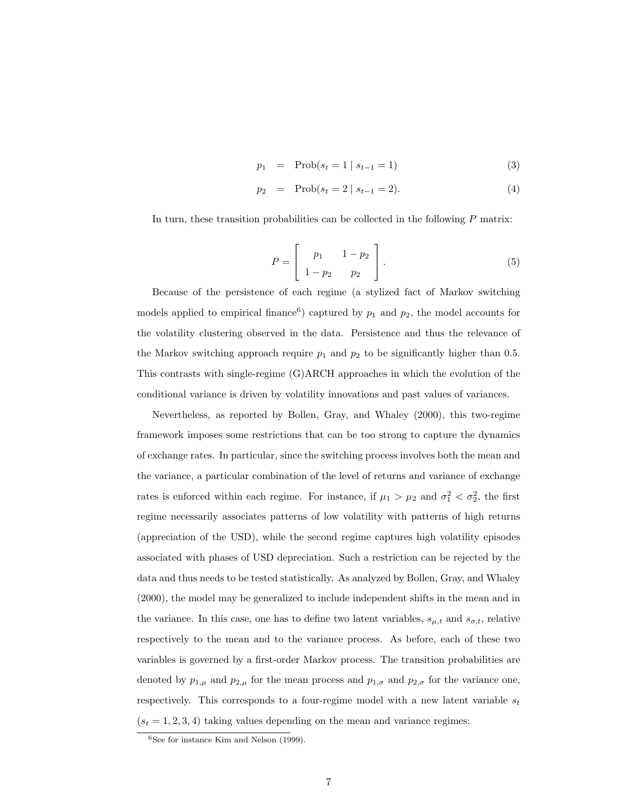$$
p_1 = \text{Prob}(s_t = 1 \mid s_{t-1} = 1) \tag{3}
$$

$$
p_2 = \text{Prob}(s_t = 2 \mid s_{t-1} = 2). \tag{4}
$$

In turn, these transition probabilities can be collected in the following P matrix:

$$
P = \begin{bmatrix} p_1 & 1 - p_2 \\ 1 - p_2 & p_2 \end{bmatrix}.
$$
 (5)

Because of the persistence of each regime (a stylized fact of Markov switching models applied to empirical finance<sup>6</sup>) captured by  $p_1$  and  $p_2$ , the model accounts for the volatility clustering observed in the data. Persistence and thus the relevance of the Markov switching approach require  $p_1$  and  $p_2$  to be significantly higher than 0.5. This contrasts with single-regime (G)ARCH approaches in which the evolution of the conditional variance is driven by volatility innovations and past values of variances.

Nevertheless, as reported by Bollen, Gray, and Whaley (2000), this two-regime framework imposes some restrictions that can be too strong to capture the dynamics of exchange rates. In particular, since the switching process involves both the mean and the variance, a particular combination of the level of returns and variance of exchange rates is enforced within each regime. For instance, if  $\mu_1 > \mu_2$  and  $\sigma_1^2 < \sigma_2^2$ , the first regime necessarily associates patterns of low volatility with patterns of high returns (appreciation of the USD), while the second regime captures high volatility episodes associated with phases of USD depreciation. Such a restriction can be rejected by the data and thus needs to be tested statistically. As analyzed by Bollen, Gray, and Whaley (2000), the model may be generalized to include independent shifts in the mean and in the variance. In this case, one has to define two latent variables,  $s_{\mu,t}$  and  $s_{\sigma,t}$ , relative respectively to the mean and to the variance process. As before, each of these two variables is governed by a first-order Markov process. The transition probabilities are denoted by  $p_{1,\mu}$  and  $p_{2,\mu}$  for the mean process and  $p_{1,\sigma}$  and  $p_{2,\sigma}$  for the variance one, respectively. This corresponds to a four-regime model with a new latent variable  $s_t$  $(s_t = 1, 2, 3, 4)$  taking values depending on the mean and variance regimes:

 $6$ See for instance Kim and Nelson (1999).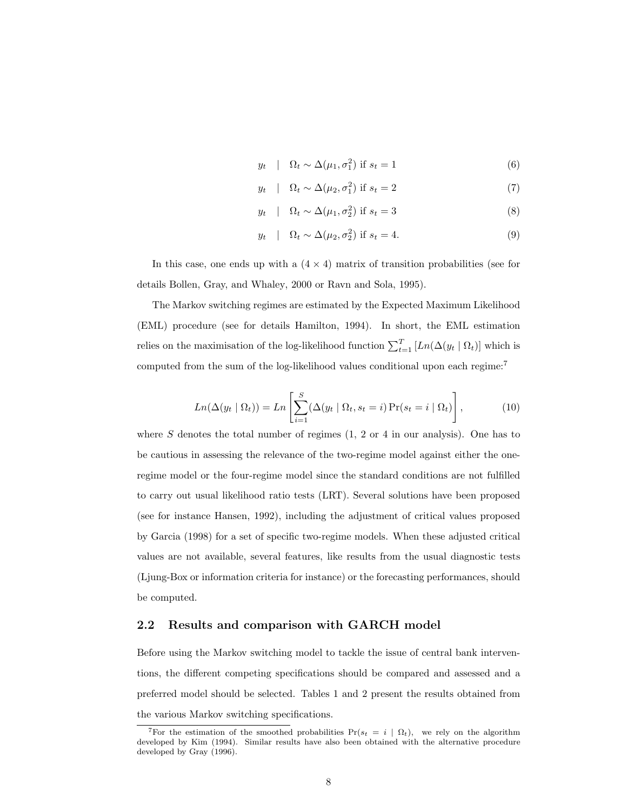$$
y_t \quad | \quad \Omega_t \sim \Delta(\mu_1, \sigma_1^2) \text{ if } s_t = 1 \tag{6}
$$

$$
y_t \quad | \quad \Omega_t \sim \Delta(\mu_2, \sigma_1^2) \text{ if } s_t = 2 \tag{7}
$$

$$
y_t \quad | \quad \Omega_t \sim \Delta(\mu_1, \sigma_2^2) \text{ if } s_t = 3 \tag{8}
$$

$$
y_t \quad | \quad \Omega_t \sim \Delta(\mu_2, \sigma_2^2) \text{ if } s_t = 4. \tag{9}
$$

In this case, one ends up with a  $(4 \times 4)$  matrix of transition probabilities (see for details Bollen, Gray, and Whaley, 2000 or Ravn and Sola, 1995).

The Markov switching regimes are estimated by the Expected Maximum Likelihood (EML) procedure (see for details Hamilton, 1994). In short, the EML estimation relies on the maximisation of the log-likelihood function  $\sum_{t=1}^{T} [Ln(\Delta(y_t | \Omega_t))]$  which is computed from the sum of the log-likelihood values conditional upon each regime:<sup>7</sup>

$$
Ln(\Delta(y_t \mid \Omega_t)) = Ln\left[\sum_{i=1}^{S} (\Delta(y_t \mid \Omega_t, s_t = i) \Pr(s_t = i \mid \Omega_t)\right],
$$
\n(10)

where S denotes the total number of regimes  $(1, 2 \text{ or } 4 \text{ in our analysis})$ . One has to be cautious in assessing the relevance of the two-regime model against either the oneregime model or the four-regime model since the standard conditions are not fulfilled to carry out usual likelihood ratio tests (LRT). Several solutions have been proposed (see for instance Hansen, 1992), including the adjustment of critical values proposed by Garcia (1998) for a set of specific two-regime models. When these adjusted critical values are not available, several features, like results from the usual diagnostic tests (Ljung-Box or information criteria for instance) or the forecasting performances, should be computed.

### 2.2 Results and comparison with GARCH model

Before using the Markov switching model to tackle the issue of central bank interventions, the different competing specifications should be compared and assessed and a preferred model should be selected. Tables 1 and 2 present the results obtained from the various Markov switching specifications.

<sup>&</sup>lt;sup>7</sup>For the estimation of the smoothed probabilities  $Pr(s_t = i \mid \Omega_t)$ , we rely on the algorithm developed by Kim (1994). Similar results have also been obtained with the alternative procedure developed by Gray (1996).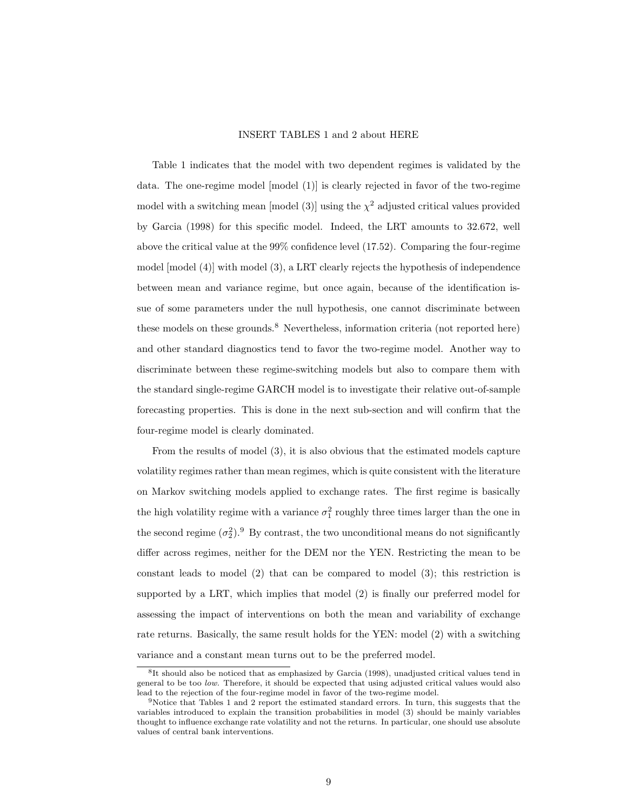### INSERT TABLES 1 and 2 about HERE

Table 1 indicates that the model with two dependent regimes is validated by the data. The one-regime model [model (1)] is clearly rejected in favor of the two-regime model with a switching mean [model (3)] using the  $\chi^2$  adjusted critical values provided by Garcia (1998) for this specific model. Indeed, the LRT amounts to 32.672, well above the critical value at the 99% confidence level (17.52). Comparing the four-regime model [model (4)] with model (3), a LRT clearly rejects the hypothesis of independence between mean and variance regime, but once again, because of the identification issue of some parameters under the null hypothesis, one cannot discriminate between these models on these grounds.<sup>8</sup> Nevertheless, information criteria (not reported here) and other standard diagnostics tend to favor the two-regime model. Another way to discriminate between these regime-switching models but also to compare them with the standard single-regime GARCH model is to investigate their relative out-of-sample forecasting properties. This is done in the next sub-section and will confirm that the four-regime model is clearly dominated.

From the results of model (3), it is also obvious that the estimated models capture volatility regimes rather than mean regimes, which is quite consistent with the literature on Markov switching models applied to exchange rates. The first regime is basically the high volatility regime with a variance  $\sigma_1^2$  roughly three times larger than the one in the second regime  $(\sigma_2^2)$ .<sup>9</sup> By contrast, the two unconditional means do not significantly differ across regimes, neither for the DEM nor the YEN. Restricting the mean to be constant leads to model (2) that can be compared to model (3); this restriction is supported by a LRT, which implies that model (2) is finally our preferred model for assessing the impact of interventions on both the mean and variability of exchange rate returns. Basically, the same result holds for the YEN: model (2) with a switching variance and a constant mean turns out to be the preferred model.

<sup>8</sup> It should also be noticed that as emphasized by Garcia (1998), unadjusted critical values tend in general to be too low. Therefore, it should be expected that using adjusted critical values would also lead to the rejection of the four-regime model in favor of the two-regime model.

<sup>&</sup>lt;sup>9</sup>Notice that Tables 1 and 2 report the estimated standard errors. In turn, this suggests that the variables introduced to explain the transition probabilities in model (3) should be mainly variables thought to influence exchange rate volatility and not the returns. In particular, one should use absolute values of central bank interventions.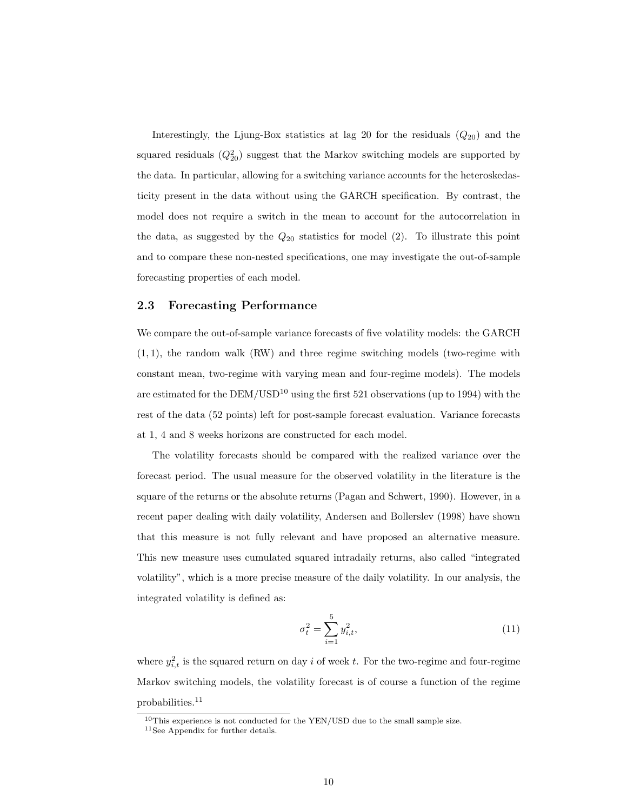Interestingly, the Ljung-Box statistics at lag 20 for the residuals  $(Q_{20})$  and the squared residuals  $(Q_{20}^2)$  suggest that the Markov switching models are supported by the data. In particular, allowing for a switching variance accounts for the heteroskedasticity present in the data without using the GARCH specification. By contrast, the model does not require a switch in the mean to account for the autocorrelation in the data, as suggested by the  $Q_{20}$  statistics for model (2). To illustrate this point and to compare these non-nested specifications, one may investigate the out-of-sample forecasting properties of each model.

### 2.3 Forecasting Performance

We compare the out-of-sample variance forecasts of five volatility models: the GARCH  $(1, 1)$ , the random walk  $(RW)$  and three regime switching models (two-regime with constant mean, two-regime with varying mean and four-regime models). The models are estimated for the  $DEM/USD^{10}$  using the first 521 observations (up to 1994) with the rest of the data (52 points) left for post-sample forecast evaluation. Variance forecasts at 1, 4 and 8 weeks horizons are constructed for each model.

The volatility forecasts should be compared with the realized variance over the forecast period. The usual measure for the observed volatility in the literature is the square of the returns or the absolute returns (Pagan and Schwert, 1990). However, in a recent paper dealing with daily volatility, Andersen and Bollerslev (1998) have shown that this measure is not fully relevant and have proposed an alternative measure. This new measure uses cumulated squared intradaily returns, also called "integrated volatility", which is a more precise measure of the daily volatility. In our analysis, the integrated volatility is defined as:

$$
\sigma_t^2 = \sum_{i=1}^5 y_{i,t}^2,\tag{11}
$$

where  $y_{i,t}^2$  is the squared return on day i of week t. For the two-regime and four-regime Markov switching models, the volatility forecast is of course a function of the regime probabilities.<sup>11</sup>

<sup>10</sup>This experience is not conducted for the YEN/USD due to the small sample size.

<sup>11</sup>See Appendix for further details.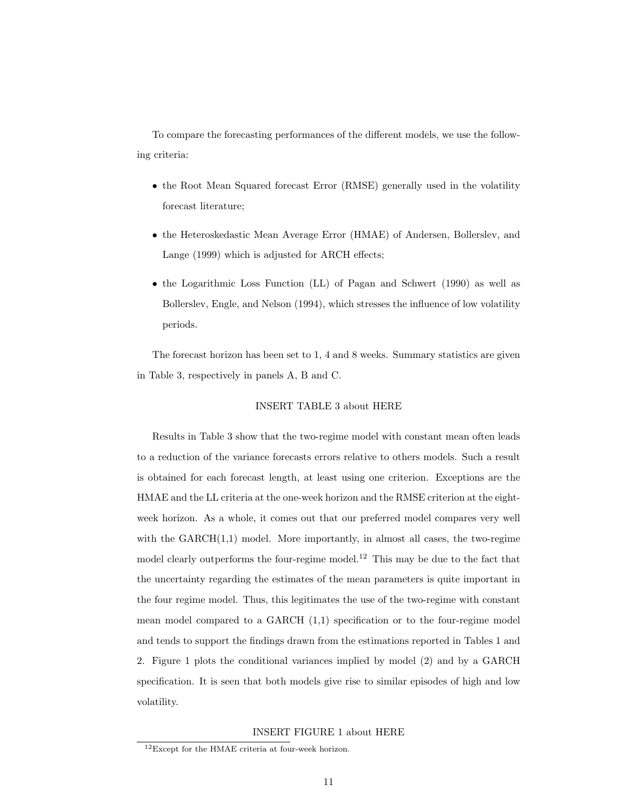To compare the forecasting performances of the different models, we use the following criteria:

- the Root Mean Squared forecast Error (RMSE) generally used in the volatility forecast literature;
- the Heteroskedastic Mean Average Error (HMAE) of Andersen, Bollerslev, and Lange (1999) which is adjusted for ARCH effects;
- the Logarithmic Loss Function (LL) of Pagan and Schwert (1990) as well as Bollerslev, Engle, and Nelson (1994), which stresses the influence of low volatility periods.

The forecast horizon has been set to 1, 4 and 8 weeks. Summary statistics are given in Table 3, respectively in panels A, B and C.

### INSERT TABLE 3 about HERE

Results in Table 3 show that the two-regime model with constant mean often leads to a reduction of the variance forecasts errors relative to others models. Such a result is obtained for each forecast length, at least using one criterion. Exceptions are the HMAE and the LL criteria at the one-week horizon and the RMSE criterion at the eightweek horizon. As a whole, it comes out that our preferred model compares very well with the  $GARCH(1,1)$  model. More importantly, in almost all cases, the two-regime model clearly outperforms the four-regime model.<sup>12</sup> This may be due to the fact that the uncertainty regarding the estimates of the mean parameters is quite important in the four regime model. Thus, this legitimates the use of the two-regime with constant mean model compared to a GARCH (1,1) specification or to the four-regime model and tends to support the findings drawn from the estimations reported in Tables 1 and 2. Figure 1 plots the conditional variances implied by model (2) and by a GARCH specification. It is seen that both models give rise to similar episodes of high and low volatility.

### INSERT FIGURE 1 about HERE

<sup>12</sup>Except for the HMAE criteria at four-week horizon.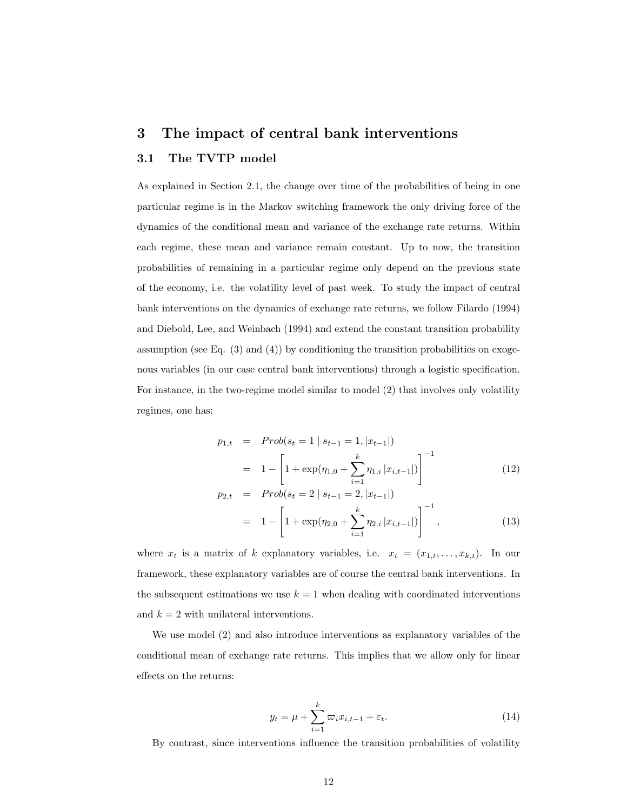## 3 The impact of central bank interventions 3.1 The TVTP model

As explained in Section 2.1, the change over time of the probabilities of being in one particular regime is in the Markov switching framework the only driving force of the dynamics of the conditional mean and variance of the exchange rate returns. Within each regime, these mean and variance remain constant. Up to now, the transition probabilities of remaining in a particular regime only depend on the previous state of the economy, i.e. the volatility level of past week. To study the impact of central bank interventions on the dynamics of exchange rate returns, we follow Filardo (1994) and Diebold, Lee, and Weinbach (1994) and extend the constant transition probability assumption (see Eq.  $(3)$  and  $(4)$ ) by conditioning the transition probabilities on exogenous variables (in our case central bank interventions) through a logistic specification. For instance, in the two-regime model similar to model (2) that involves only volatility regimes, one has:

$$
p_{1,t} = Prob(s_t = 1 | s_{t-1} = 1, |x_{t-1}|)
$$
  
= 
$$
1 - \left[1 + \exp(\eta_{1,0} + \sum_{i=1}^k \eta_{1,i} |x_{i,t-1}|)\right]^{-1}
$$
 (12)

$$
p_{2,t} = Prob(s_t = 2 | s_{t-1} = 2, |x_{t-1}|)
$$
  
=  $1 - \left[1 + \exp(\eta_{2,0} + \sum_{i=1}^k \eta_{2,i} |x_{i,t-1}|)\right]^{-1},$  (13)

where  $x_t$  is a matrix of k explanatory variables, i.e.  $x_t = (x_{1,t}, \ldots, x_{k,t})$ . In our framework, these explanatory variables are of course the central bank interventions. In the subsequent estimations we use  $k = 1$  when dealing with coordinated interventions and  $k = 2$  with unilateral interventions.

We use model (2) and also introduce interventions as explanatory variables of the conditional mean of exchange rate returns. This implies that we allow only for linear effects on the returns:

$$
y_t = \mu + \sum_{i=1}^k \varpi_i x_{i,t-1} + \varepsilon_t.
$$
 (14)

By contrast, since interventions influence the transition probabilities of volatility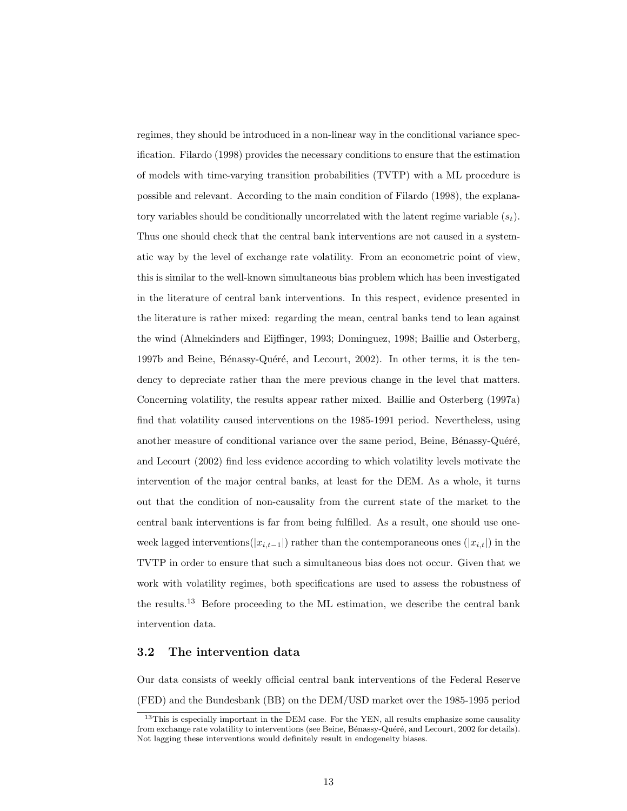regimes, they should be introduced in a non-linear way in the conditional variance specification. Filardo (1998) provides the necessary conditions to ensure that the estimation of models with time-varying transition probabilities (TVTP) with a ML procedure is possible and relevant. According to the main condition of Filardo (1998), the explanatory variables should be conditionally uncorrelated with the latent regime variable  $(s_t)$ . Thus one should check that the central bank interventions are not caused in a systematic way by the level of exchange rate volatility. From an econometric point of view, this is similar to the well-known simultaneous bias problem which has been investigated in the literature of central bank interventions. In this respect, evidence presented in the literature is rather mixed: regarding the mean, central banks tend to lean against the wind (Almekinders and Eijffinger, 1993; Dominguez, 1998; Baillie and Osterberg, 1997b and Beine, Bénassy-Quéré, and Lecourt, 2002). In other terms, it is the tendency to depreciate rather than the mere previous change in the level that matters. Concerning volatility, the results appear rather mixed. Baillie and Osterberg (1997a) find that volatility caused interventions on the 1985-1991 period. Nevertheless, using another measure of conditional variance over the same period, Beine, Bénassy-Quéré, and Lecourt (2002) find less evidence according to which volatility levels motivate the intervention of the major central banks, at least for the DEM. As a whole, it turns out that the condition of non-causality from the current state of the market to the central bank interventions is far from being fulfilled. As a result, one should use oneweek lagged interventions( $|x_{i,t-1}|$ ) rather than the contemporaneous ones  $(|x_{i,t}|)$  in the TVTP in order to ensure that such a simultaneous bias does not occur. Given that we work with volatility regimes, both specifications are used to assess the robustness of the results.<sup>13</sup> Before proceeding to the ML estimation, we describe the central bank intervention data.

### 3.2 The intervention data

Our data consists of weekly official central bank interventions of the Federal Reserve (FED) and the Bundesbank (BB) on the DEM/USD market over the 1985-1995 period

<sup>&</sup>lt;sup>13</sup>This is especially important in the DEM case. For the YEN, all results emphasize some causality from exchange rate volatility to interventions (see Beine, Bénassy-Quéré, and Lecourt, 2002 for details). Not lagging these interventions would definitely result in endogeneity biases.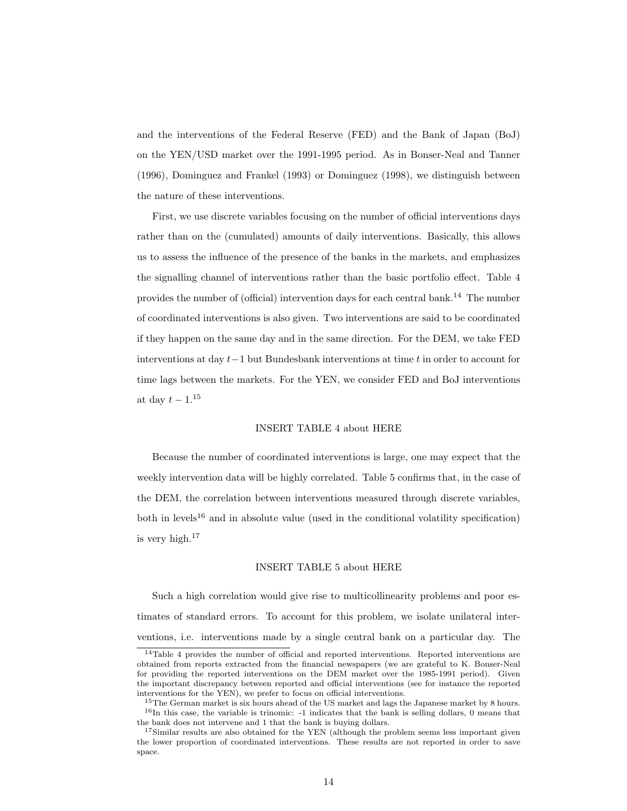and the interventions of the Federal Reserve (FED) and the Bank of Japan (BoJ) on the YEN/USD market over the 1991-1995 period. As in Bonser-Neal and Tanner (1996), Dominguez and Frankel (1993) or Dominguez (1998), we distinguish between the nature of these interventions.

First, we use discrete variables focusing on the number of official interventions days rather than on the (cumulated) amounts of daily interventions. Basically, this allows us to assess the influence of the presence of the banks in the markets, and emphasizes the signalling channel of interventions rather than the basic portfolio effect. Table 4 provides the number of (official) intervention days for each central bank.<sup>14</sup> The number of coordinated interventions is also given. Two interventions are said to be coordinated if they happen on the same day and in the same direction. For the DEM, we take FED interventions at day  $t-1$  but Bundesbank interventions at time t in order to account for time lags between the markets. For the YEN, we consider FED and BoJ interventions at day  $t-1$ .<sup>15</sup>

### INSERT TABLE 4 about HERE

Because the number of coordinated interventions is large, one may expect that the weekly intervention data will be highly correlated. Table 5 confirms that, in the case of the DEM, the correlation between interventions measured through discrete variables, both in levels<sup>16</sup> and in absolute value (used in the conditional volatility specification) is very high.<sup>17</sup>

### INSERT TABLE 5 about HERE

Such a high correlation would give rise to multicollinearity problems and poor estimates of standard errors. To account for this problem, we isolate unilateral interventions, i.e. interventions made by a single central bank on a particular day. The

 $14$ Table 4 provides the number of official and reported interventions. Reported interventions are obtained from reports extracted from the financial newspapers (we are grateful to K. Bonser-Neal for providing the reported interventions on the DEM market over the 1985-1991 period). Given the important discrepancy between reported and official interventions (see for instance the reported interventions for the YEN), we prefer to focus on official interventions.

<sup>&</sup>lt;sup>15</sup>The German market is six hours ahead of the US market and lags the Japanese market by 8 hours.  $16$ In this case, the variable is trinomic: -1 indicates that the bank is selling dollars, 0 means that the bank does not intervene and 1 that the bank is buying dollars.

<sup>&</sup>lt;sup>17</sup>Similar results are also obtained for the YEN (although the problem seems less important given the lower proportion of coordinated interventions. These results are not reported in order to save space.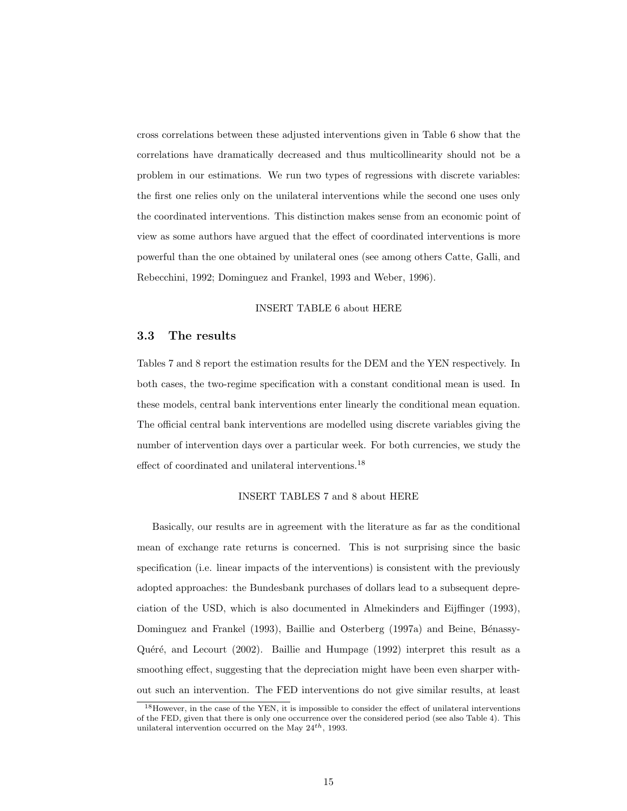cross correlations between these adjusted interventions given in Table 6 show that the correlations have dramatically decreased and thus multicollinearity should not be a problem in our estimations. We run two types of regressions with discrete variables: the first one relies only on the unilateral interventions while the second one uses only the coordinated interventions. This distinction makes sense from an economic point of view as some authors have argued that the effect of coordinated interventions is more powerful than the one obtained by unilateral ones (see among others Catte, Galli, and Rebecchini, 1992; Dominguez and Frankel, 1993 and Weber, 1996).

### INSERT TABLE 6 about HERE

### 3.3 The results

Tables 7 and 8 report the estimation results for the DEM and the YEN respectively. In both cases, the two-regime specification with a constant conditional mean is used. In these models, central bank interventions enter linearly the conditional mean equation. The official central bank interventions are modelled using discrete variables giving the number of intervention days over a particular week. For both currencies, we study the effect of coordinated and unilateral interventions.<sup>18</sup>

### INSERT TABLES 7 and 8 about HERE

Basically, our results are in agreement with the literature as far as the conditional mean of exchange rate returns is concerned. This is not surprising since the basic specification (i.e. linear impacts of the interventions) is consistent with the previously adopted approaches: the Bundesbank purchases of dollars lead to a subsequent depreciation of the USD, which is also documented in Almekinders and Eijffinger (1993), Dominguez and Frankel (1993), Baillie and Osterberg (1997a) and Beine, Bénassy-Quéré, and Lecourt  $(2002)$ . Baillie and Humpage  $(1992)$  interpret this result as a smoothing effect, suggesting that the depreciation might have been even sharper without such an intervention. The FED interventions do not give similar results, at least

<sup>&</sup>lt;sup>18</sup>However, in the case of the YEN, it is impossible to consider the effect of unilateral interventions of the FED, given that there is only one occurrence over the considered period (see also Table 4). This unilateral intervention occurred on the May  $24^{th}$ , 1993.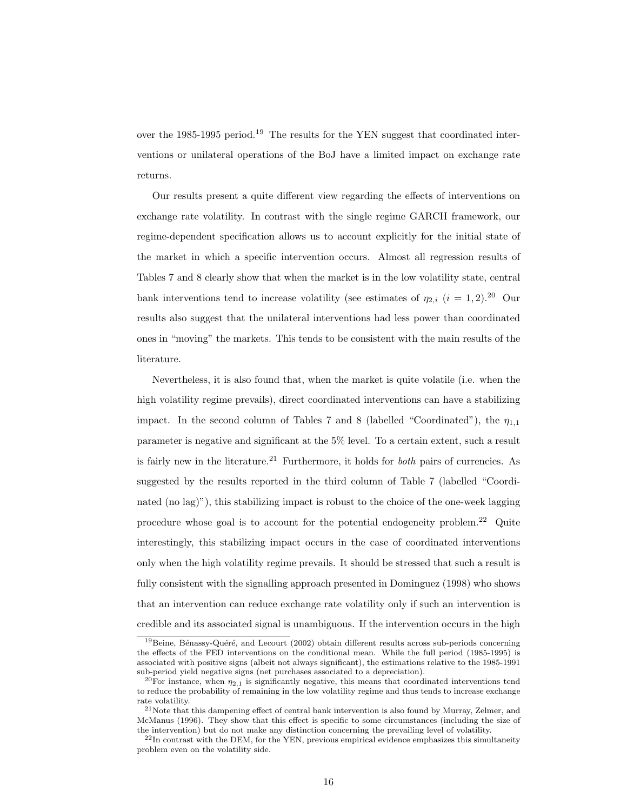over the 1985-1995 period.<sup>19</sup> The results for the YEN suggest that coordinated interventions or unilateral operations of the BoJ have a limited impact on exchange rate returns.

Our results present a quite different view regarding the effects of interventions on exchange rate volatility. In contrast with the single regime GARCH framework, our regime-dependent specification allows us to account explicitly for the initial state of the market in which a specific intervention occurs. Almost all regression results of Tables 7 and 8 clearly show that when the market is in the low volatility state, central bank interventions tend to increase volatility (see estimates of  $\eta_{2,i}$  (i = 1, 2).<sup>20</sup> Our results also suggest that the unilateral interventions had less power than coordinated ones in "moving" the markets. This tends to be consistent with the main results of the literature.

Nevertheless, it is also found that, when the market is quite volatile (i.e. when the high volatility regime prevails), direct coordinated interventions can have a stabilizing impact. In the second column of Tables 7 and 8 (labelled "Coordinated"), the  $\eta_{1,1}$ parameter is negative and significant at the 5% level. To a certain extent, such a result is fairly new in the literature.<sup>21</sup> Furthermore, it holds for *both* pairs of currencies. As suggested by the results reported in the third column of Table 7 (labelled "Coordinated (no lag)"), this stabilizing impact is robust to the choice of the one-week lagging procedure whose goal is to account for the potential endogeneity problem.<sup>22</sup> Quite interestingly, this stabilizing impact occurs in the case of coordinated interventions only when the high volatility regime prevails. It should be stressed that such a result is fully consistent with the signalling approach presented in Dominguez (1998) who shows that an intervention can reduce exchange rate volatility only if such an intervention is credible and its associated signal is unambiguous. If the intervention occurs in the high

<sup>&</sup>lt;sup>19</sup>Beine, Bénassy-Quéré, and Lecourt (2002) obtain different results across sub-periods concerning the effects of the FED interventions on the conditional mean. While the full period (1985-1995) is associated with positive signs (albeit not always significant), the estimations relative to the 1985-1991 sub-period yield negative signs (net purchases associated to a depreciation).

<sup>&</sup>lt;sup>20</sup>For instance, when  $\eta_{2,1}$  is significantly negative, this means that coordinated interventions tend to reduce the probability of remaining in the low volatility regime and thus tends to increase exchange rate volatility.

<sup>&</sup>lt;sup>21</sup>Note that this dampening effect of central bank intervention is also found by Murray, Zelmer, and McManus (1996). They show that this effect is specific to some circumstances (including the size of the intervention) but do not make any distinction concerning the prevailing level of volatility.

<sup>&</sup>lt;sup>22</sup>In contrast with the DEM, for the YEN, previous empirical evidence emphasizes this simultaneity problem even on the volatility side.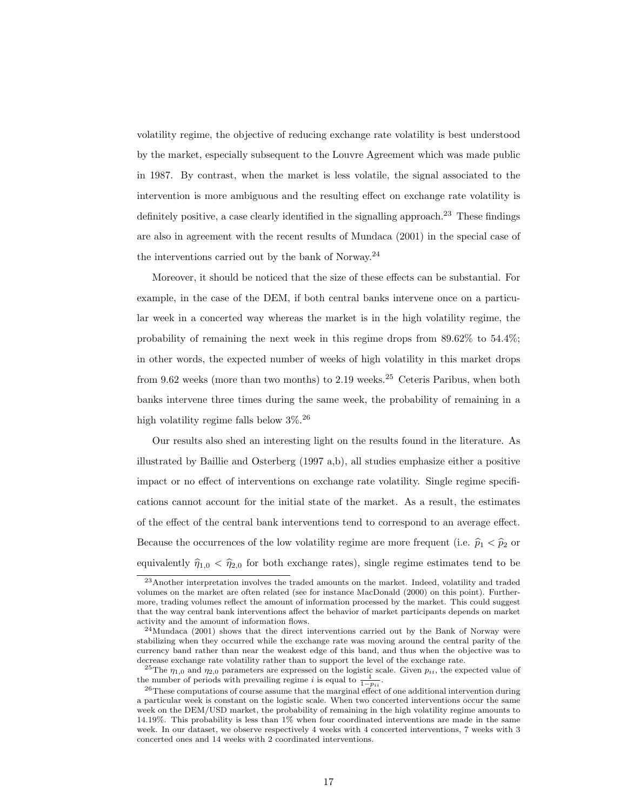volatility regime, the objective of reducing exchange rate volatility is best understood by the market, especially subsequent to the Louvre Agreement which was made public in 1987. By contrast, when the market is less volatile, the signal associated to the intervention is more ambiguous and the resulting effect on exchange rate volatility is definitely positive, a case clearly identified in the signalling approach.<sup>23</sup> These findings are also in agreement with the recent results of Mundaca (2001) in the special case of the interventions carried out by the bank of Norway.<sup>24</sup>

Moreover, it should be noticed that the size of these effects can be substantial. For example, in the case of the DEM, if both central banks intervene once on a particular week in a concerted way whereas the market is in the high volatility regime, the probability of remaining the next week in this regime drops from 89.62% to 54.4%; in other words, the expected number of weeks of high volatility in this market drops from 9.62 weeks (more than two months) to 2.19 weeks.<sup>25</sup> Ceteris Paribus, when both banks intervene three times during the same week, the probability of remaining in a high volatility regime falls below 3%.<sup>26</sup>

Our results also shed an interesting light on the results found in the literature. As illustrated by Baillie and Osterberg (1997 a,b), all studies emphasize either a positive impact or no effect of interventions on exchange rate volatility. Single regime specifications cannot account for the initial state of the market. As a result, the estimates of the effect of the central bank interventions tend to correspond to an average effect. Because the occurrences of the low volatility regime are more frequent (i.e.  $\hat{p}_1 < \hat{p}_2$  or equivalently  $\hat{\eta}_{1,0} < \hat{\eta}_{2,0}$  for both exchange rates), single regime estimates tend to be

<sup>23</sup>Another interpretation involves the traded amounts on the market. Indeed, volatility and traded volumes on the market are often related (see for instance MacDonald (2000) on this point). Furthermore, trading volumes reflect the amount of information processed by the market. This could suggest that the way central bank interventions affect the behavior of market participants depends on market activity and the amount of information flows.

 $^{24}$ Mundaca (2001) shows that the direct interventions carried out by the Bank of Norway were stabilizing when they occurred while the exchange rate was moving around the central parity of the currency band rather than near the weakest edge of this band, and thus when the objective was to decrease exchange rate volatility rather than to support the level of the exchange rate.

<sup>&</sup>lt;sup>25</sup>The  $\eta_{1,0}$  and  $\eta_{2,0}$  parameters are expressed on the logistic scale. Given  $p_{ii}$ , the expected value of the number of periods with prevailing regime *i* is equal to  $\frac{1}{1-p_{ii}}$ .

<sup>&</sup>lt;sup>26</sup>These computations of course assume that the marginal effect of one additional intervention during a particular week is constant on the logistic scale. When two concerted interventions occur the same week on the DEM/USD market, the probability of remaining in the high volatility regime amounts to 14.19%. This probability is less than 1% when four coordinated interventions are made in the same week. In our dataset, we observe respectively 4 weeks with 4 concerted interventions, 7 weeks with 3 concerted ones and 14 weeks with 2 coordinated interventions.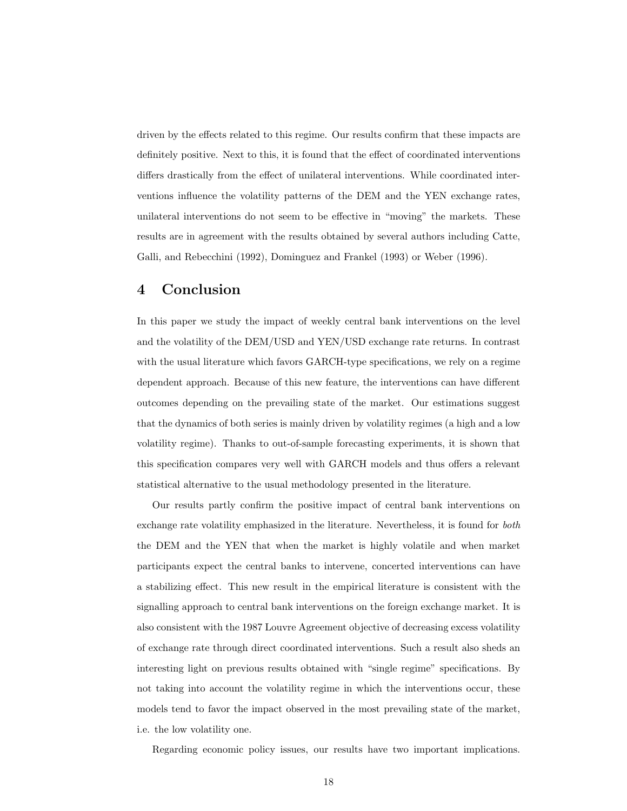driven by the effects related to this regime. Our results confirm that these impacts are definitely positive. Next to this, it is found that the effect of coordinated interventions differs drastically from the effect of unilateral interventions. While coordinated interventions influence the volatility patterns of the DEM and the YEN exchange rates, unilateral interventions do not seem to be effective in "moving" the markets. These results are in agreement with the results obtained by several authors including Catte, Galli, and Rebecchini (1992), Dominguez and Frankel (1993) or Weber (1996).

## 4 Conclusion

In this paper we study the impact of weekly central bank interventions on the level and the volatility of the DEM/USD and YEN/USD exchange rate returns. In contrast with the usual literature which favors GARCH-type specifications, we rely on a regime dependent approach. Because of this new feature, the interventions can have different outcomes depending on the prevailing state of the market. Our estimations suggest that the dynamics of both series is mainly driven by volatility regimes (a high and a low volatility regime). Thanks to out-of-sample forecasting experiments, it is shown that this specification compares very well with GARCH models and thus offers a relevant statistical alternative to the usual methodology presented in the literature.

Our results partly confirm the positive impact of central bank interventions on exchange rate volatility emphasized in the literature. Nevertheless, it is found for both the DEM and the YEN that when the market is highly volatile and when market participants expect the central banks to intervene, concerted interventions can have a stabilizing effect. This new result in the empirical literature is consistent with the signalling approach to central bank interventions on the foreign exchange market. It is also consistent with the 1987 Louvre Agreement objective of decreasing excess volatility of exchange rate through direct coordinated interventions. Such a result also sheds an interesting light on previous results obtained with "single regime" specifications. By not taking into account the volatility regime in which the interventions occur, these models tend to favor the impact observed in the most prevailing state of the market, i.e. the low volatility one.

Regarding economic policy issues, our results have two important implications.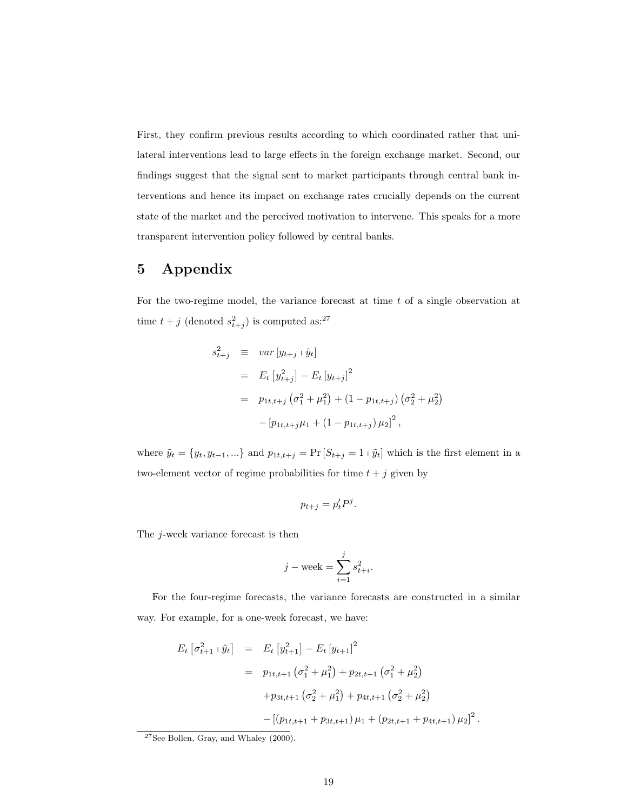First, they confirm previous results according to which coordinated rather that unilateral interventions lead to large effects in the foreign exchange market. Second, our findings suggest that the signal sent to market participants through central bank interventions and hence its impact on exchange rates crucially depends on the current state of the market and the perceived motivation to intervene. This speaks for a more transparent intervention policy followed by central banks.

## 5 Appendix

For the two-regime model, the variance forecast at time t of a single observation at time  $t + j$  (denoted  $s_{t+j}^2$ ) is computed as:<sup>27</sup>

$$
s_{t+j}^2 \equiv var[y_{t+j} + \tilde{y}_t]
$$
  
=  $E_t [y_{t+j}^2] - E_t [y_{t+j}]^2$   
=  $p_{1t,t+j} (\sigma_1^2 + \mu_1^2) + (1 - p_{1t,t+j}) (\sigma_2^2 + \mu_2^2)$   
-  $[p_{1t,t+j}\mu_1 + (1 - p_{1t,t+j})\mu_2]^2$ ,

where  $\tilde{y}_t = \{y_t, y_{t-1}, ...\}$  and  $p_{1t,t+j} = \Pr[S_{t+j} = 1 \mid \tilde{y}_t]$  which is the first element in a two-element vector of regime probabilities for time  $t + j$  given by

$$
p_{t+j} = p'_t P^j.
$$

The j-week variance forecast is then

$$
j - \text{week} = \sum_{i=1}^j s_{t+i}^2.
$$

For the four-regime forecasts, the variance forecasts are constructed in a similar way. For example, for a one-week forecast, we have:

$$
E_t \left[ \sigma_{t+1}^2 + \tilde{y}_t \right] = E_t \left[ y_{t+1}^2 \right] - E_t \left[ y_{t+1} \right]^2
$$
  

$$
= p_{1t,t+1} \left( \sigma_1^2 + \mu_1^2 \right) + p_{2t,t+1} \left( \sigma_1^2 + \mu_2^2 \right)
$$
  

$$
+ p_{3t,t+1} \left( \sigma_2^2 + \mu_1^2 \right) + p_{4t,t+1} \left( \sigma_2^2 + \mu_2^2 \right)
$$
  

$$
- \left[ \left( p_{1t,t+1} + p_{3t,t+1} \right) \mu_1 + \left( p_{2t,t+1} + p_{4t,t+1} \right) \mu_2 \right]^2
$$

.

 $27$ See Bollen, Gray, and Whaley  $(2000)$ .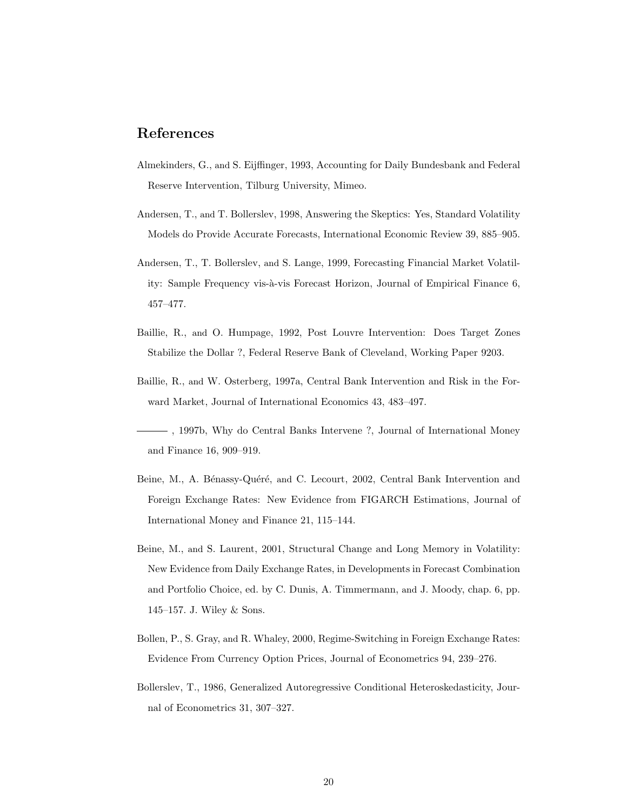## References

- Almekinders, G., and S. Eijffinger, 1993, Accounting for Daily Bundesbank and Federal Reserve Intervention, Tilburg University, Mimeo.
- Andersen, T., and T. Bollerslev, 1998, Answering the Skeptics: Yes, Standard Volatility Models do Provide Accurate Forecasts, International Economic Review 39, 885–905.
- Andersen, T., T. Bollerslev, and S. Lange, 1999, Forecasting Financial Market Volatility: Sample Frequency vis-à-vis Forecast Horizon, Journal of Empirical Finance 6, 457–477.
- Baillie, R., and O. Humpage, 1992, Post Louvre Intervention: Does Target Zones Stabilize the Dollar ?, Federal Reserve Bank of Cleveland, Working Paper 9203.
- Baillie, R., and W. Osterberg, 1997a, Central Bank Intervention and Risk in the Forward Market, Journal of International Economics 43, 483–497.
- , 1997b, Why do Central Banks Intervene ?, Journal of International Money and Finance 16, 909–919.
- Beine, M., A. Bénassy-Quéré, and C. Lecourt, 2002, Central Bank Intervention and Foreign Exchange Rates: New Evidence from FIGARCH Estimations, Journal of International Money and Finance 21, 115–144.
- Beine, M., and S. Laurent, 2001, Structural Change and Long Memory in Volatility: New Evidence from Daily Exchange Rates, in Developments in Forecast Combination and Portfolio Choice, ed. by C. Dunis, A. Timmermann, and J. Moody, chap. 6, pp. 145–157. J. Wiley & Sons.
- Bollen, P., S. Gray, and R. Whaley, 2000, Regime-Switching in Foreign Exchange Rates: Evidence From Currency Option Prices, Journal of Econometrics 94, 239–276.
- Bollerslev, T., 1986, Generalized Autoregressive Conditional Heteroskedasticity, Journal of Econometrics 31, 307–327.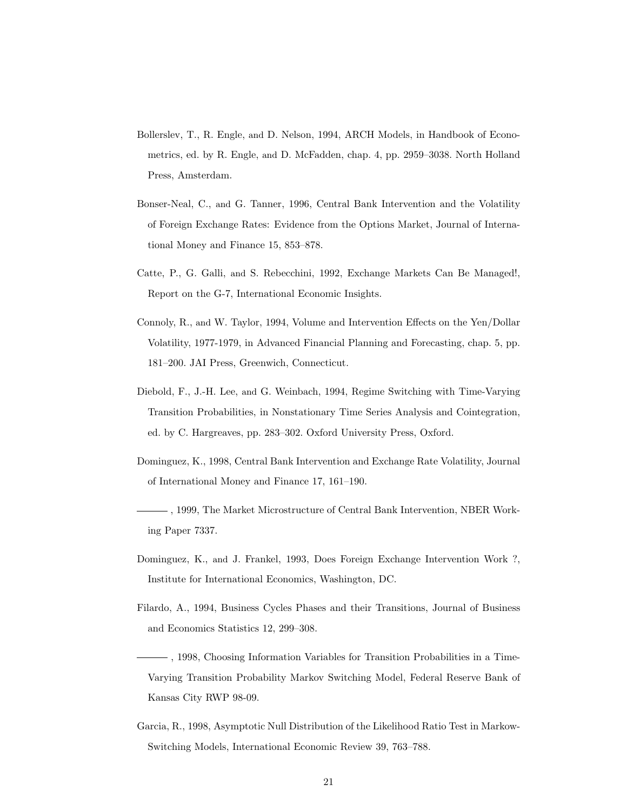- Bollerslev, T., R. Engle, and D. Nelson, 1994, ARCH Models, in Handbook of Econometrics, ed. by R. Engle, and D. McFadden, chap. 4, pp. 2959–3038. North Holland Press, Amsterdam.
- Bonser-Neal, C., and G. Tanner, 1996, Central Bank Intervention and the Volatility of Foreign Exchange Rates: Evidence from the Options Market, Journal of International Money and Finance 15, 853–878.
- Catte, P., G. Galli, and S. Rebecchini, 1992, Exchange Markets Can Be Managed!, Report on the G-7, International Economic Insights.
- Connoly, R., and W. Taylor, 1994, Volume and Intervention Effects on the Yen/Dollar Volatility, 1977-1979, in Advanced Financial Planning and Forecasting, chap. 5, pp. 181–200. JAI Press, Greenwich, Connecticut.
- Diebold, F., J.-H. Lee, and G. Weinbach, 1994, Regime Switching with Time-Varying Transition Probabilities, in Nonstationary Time Series Analysis and Cointegration, ed. by C. Hargreaves, pp. 283–302. Oxford University Press, Oxford.
- Dominguez, K., 1998, Central Bank Intervention and Exchange Rate Volatility, Journal of International Money and Finance 17, 161–190.
- , 1999, The Market Microstructure of Central Bank Intervention, NBER Working Paper 7337.
- Dominguez, K., and J. Frankel, 1993, Does Foreign Exchange Intervention Work ?, Institute for International Economics, Washington, DC.
- Filardo, A., 1994, Business Cycles Phases and their Transitions, Journal of Business and Economics Statistics 12, 299–308.
- , 1998, Choosing Information Variables for Transition Probabilities in a Time-Varying Transition Probability Markov Switching Model, Federal Reserve Bank of Kansas City RWP 98-09.
- Garcia, R., 1998, Asymptotic Null Distribution of the Likelihood Ratio Test in Markow-Switching Models, International Economic Review 39, 763–788.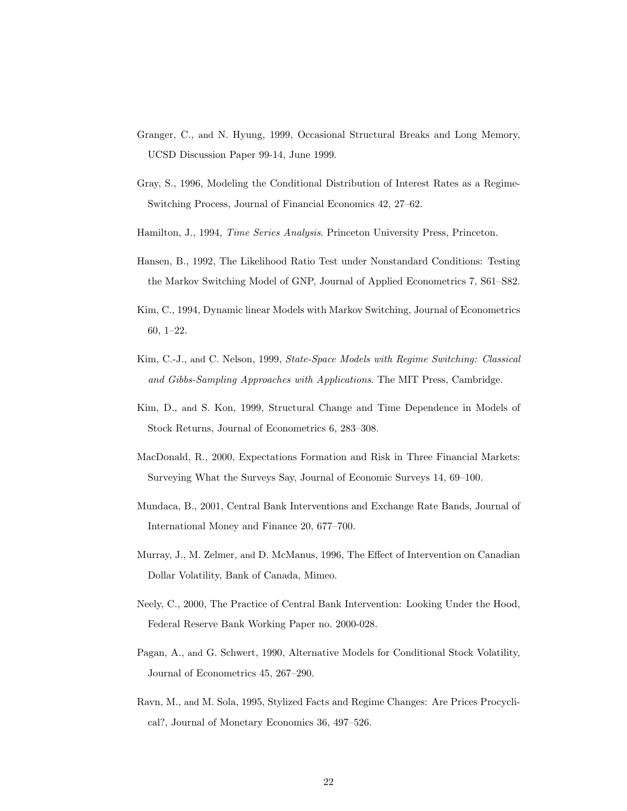- Granger, C., and N. Hyung, 1999, Occasional Structural Breaks and Long Memory, UCSD Discussion Paper 99-14, June 1999.
- Gray, S., 1996, Modeling the Conditional Distribution of Interest Rates as a Regime-Switching Process, Journal of Financial Economics 42, 27–62.
- Hamilton, J., 1994, Time Series Analysis. Princeton University Press, Princeton.
- Hansen, B., 1992, The Likelihood Ratio Test under Nonstandard Conditions: Testing the Markov Switching Model of GNP, Journal of Applied Econometrics 7, S61–S82.
- Kim, C., 1994, Dynamic linear Models with Markov Switching, Journal of Econometrics 60, 1–22.
- Kim, C.-J., and C. Nelson, 1999, State-Space Models with Regime Switching: Classical and Gibbs-Sampling Approaches with Applications. The MIT Press, Cambridge.
- Kim, D., and S. Kon, 1999, Structural Change and Time Dependence in Models of Stock Returns, Journal of Econometrics 6, 283–308.
- MacDonald, R., 2000, Expectations Formation and Risk in Three Financial Markets: Surveying What the Surveys Say, Journal of Economic Surveys 14, 69–100.
- Mundaca, B., 2001, Central Bank Interventions and Exchange Rate Bands, Journal of International Money and Finance 20, 677–700.
- Murray, J., M. Zelmer, and D. McManus, 1996, The Effect of Intervention on Canadian Dollar Volatility, Bank of Canada, Mimeo.
- Neely, C., 2000, The Practice of Central Bank Intervention: Looking Under the Hood, Federal Reserve Bank Working Paper no. 2000-028.
- Pagan, A., and G. Schwert, 1990, Alternative Models for Conditional Stock Volatility, Journal of Econometrics 45, 267–290.
- Ravn, M., and M. Sola, 1995, Stylized Facts and Regime Changes: Are Prices Procyclical?, Journal of Monetary Economics 36, 497–526.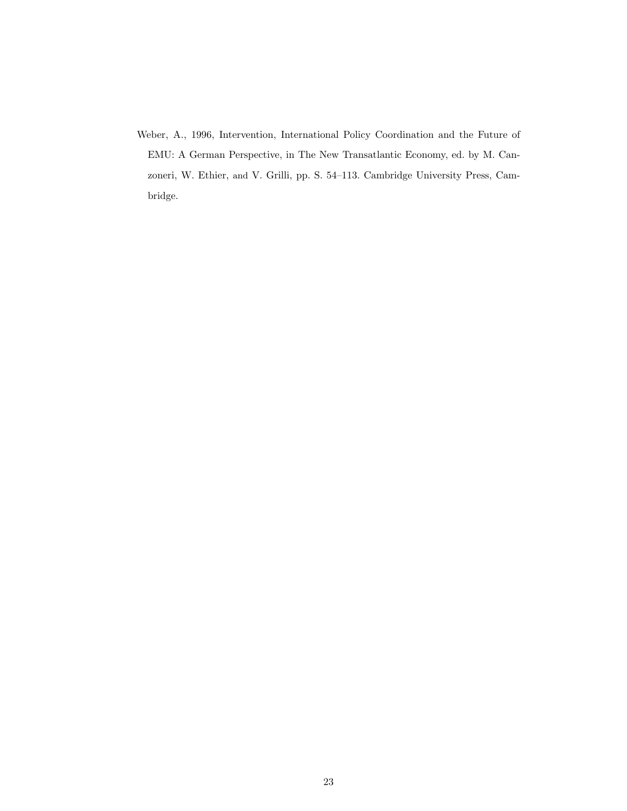Weber, A., 1996, Intervention, International Policy Coordination and the Future of EMU: A German Perspective, in The New Transatlantic Economy, ed. by M. Canzoneri, W. Ethier, and V. Grilli, pp. S. 54–113. Cambridge University Press, Cambridge.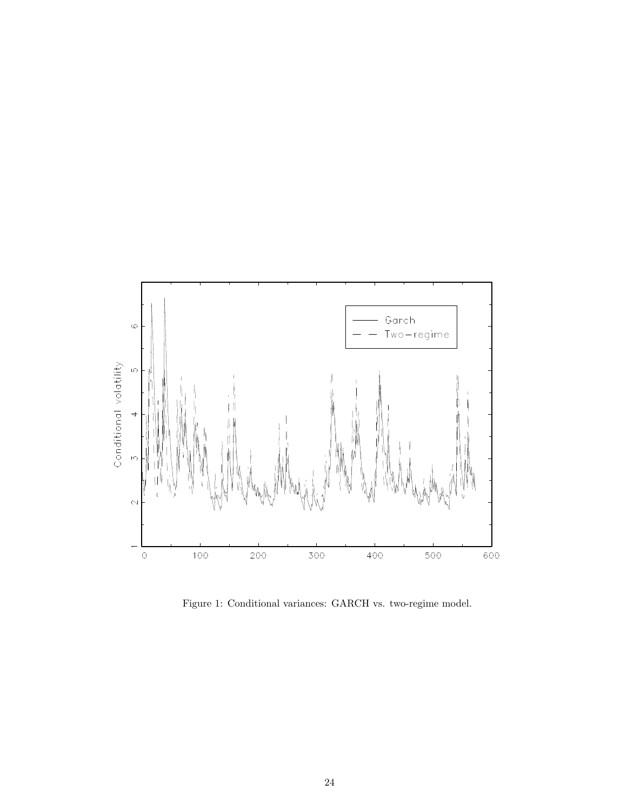

Figure 1: Conditional variances: GARCH vs. two-regime model.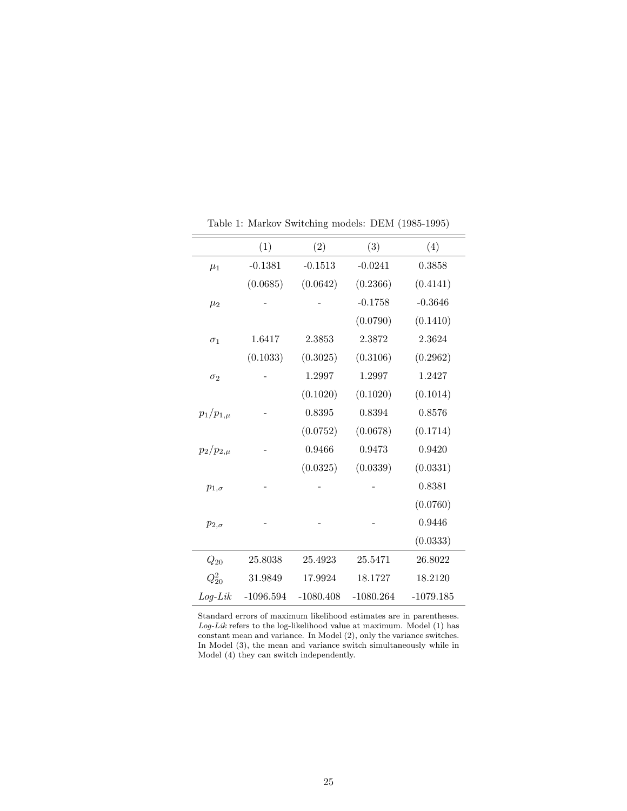|                 | (1)         | (2)         | (3)         | (4)         |
|-----------------|-------------|-------------|-------------|-------------|
| $\mu_1$         | $-0.1381$   | $-0.1513$   | $-0.0241$   | 0.3858      |
|                 | (0.0685)    | (0.0642)    | (0.2366)    | (0.4141)    |
| $\mu_2$         |             |             | $-0.1758$   | $-0.3646$   |
|                 |             |             | (0.0790)    | (0.1410)    |
| $\sigma_1$      | 1.6417      | 2.3853      | 2.3872      | 2.3624      |
|                 | (0.1033)    | (0.3025)    | (0.3106)    | (0.2962)    |
| $\sigma_2$      |             | 1.2997      | 1.2997      | 1.2427      |
|                 |             | (0.1020)    | (0.1020)    | (0.1014)    |
| $p_1/p_{1,\mu}$ |             | 0.8395      | 0.8394      | 0.8576      |
|                 |             | (0.0752)    | (0.0678)    | (0.1714)    |
| $p_2/p_{2,\mu}$ |             | 0.9466      | 0.9473      | 0.9420      |
|                 |             | (0.0325)    | (0.0339)    | (0.0331)    |
| $p_{1,\sigma}$  |             |             |             | 0.8381      |
|                 |             |             |             | (0.0760)    |
| $p_{2,\sigma}$  |             |             |             | 0.9446      |
|                 |             |             |             | (0.0333)    |
| $Q_{20}$        | 25.8038     | 25.4923     | 25.5471     | 26.8022     |
| $Q_{20}^2$      | 31.9849     | 17.9924     | 18.1727     | 18.2120     |
| $Log-Lik$       | $-1096.594$ | $-1080.408$ | $-1080.264$ | $-1079.185$ |

Table 1: Markov Switching models: DEM (1985-1995)

Standard errors of maximum likelihood estimates are in parentheses.  $Log-Lik$  refers to the log-likelihood value at maximum. Model (1) has constant mean and variance. In Model (2), only the variance switches. In Model (3), the mean and variance switch simultaneously while in Model (4) they can switch independently.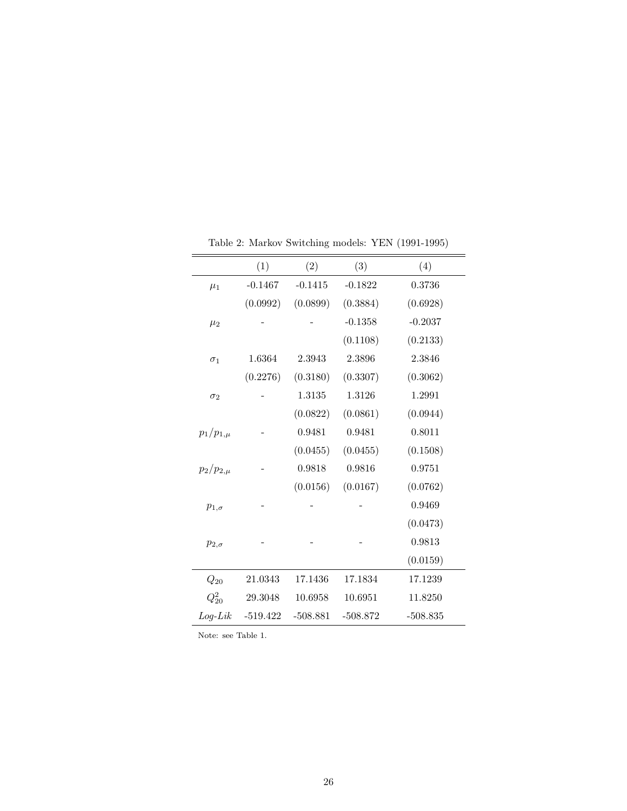|                 | (1)        | (2)        | (3)        | (4)        |
|-----------------|------------|------------|------------|------------|
| $\mu_1$         | $-0.1467$  | $-0.1415$  | $-0.1822$  | 0.3736     |
|                 | (0.0992)   | (0.0899)   | (0.3884)   | (0.6928)   |
| $\mu_2$         |            |            | $-0.1358$  | $-0.2037$  |
|                 |            |            | (0.1108)   | (0.2133)   |
| $\sigma_1$      | 1.6364     | 2.3943     | 2.3896     | 2.3846     |
|                 | (0.2276)   | (0.3180)   | (0.3307)   | (0.3062)   |
| $\sigma_2$      |            | 1.3135     | 1.3126     | 1.2991     |
|                 |            | (0.0822)   | (0.0861)   | (0.0944)   |
| $p_1/p_{1,\mu}$ |            | 0.9481     | 0.9481     | 0.8011     |
|                 |            | (0.0455)   | (0.0455)   | (0.1508)   |
| $p_2/p_{2,\mu}$ |            | 0.9818     | 0.9816     | 0.9751     |
|                 |            | (0.0156)   | (0.0167)   | (0.0762)   |
| $p_{1,\sigma}$  |            |            |            | 0.9469     |
|                 |            |            |            | (0.0473)   |
| $p_{2,\sigma}$  |            |            |            | 0.9813     |
|                 |            |            |            | (0.0159)   |
| $Q_{20}$        | 21.0343    | 17.1436    | 17.1834    | 17.1239    |
| $Q_{20}^2$      | 29.3048    | 10.6958    | 10.6951    | 11.8250    |
| $Log-Lik$       | $-519.422$ | $-508.881$ | $-508.872$ | $-508.835$ |

Table 2: Markov Switching models: YEN (1991-1995)

Note: see Table 1.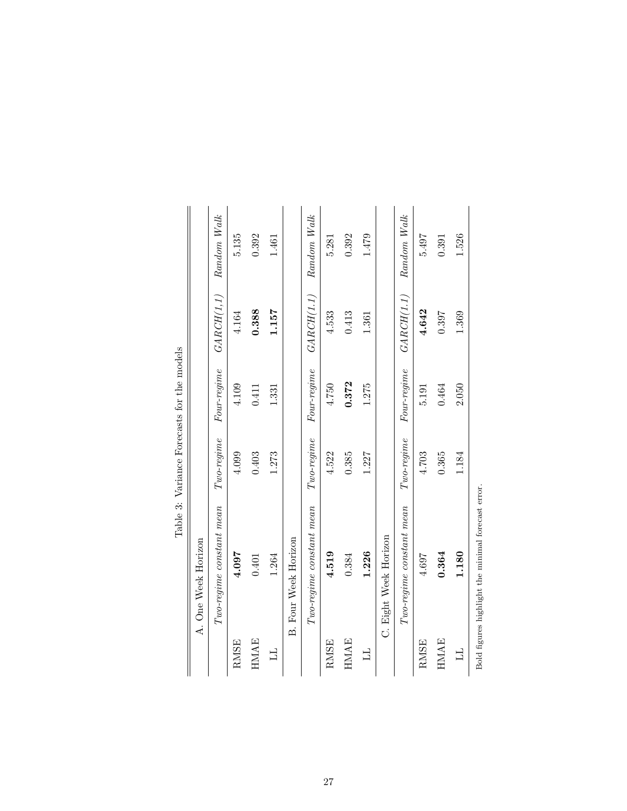|                         |                                                    |                     | Table 3: Variance Forecasts for the models                                 |             |             |
|-------------------------|----------------------------------------------------|---------------------|----------------------------------------------------------------------------|-------------|-------------|
|                         | A. One Week Horizon                                |                     |                                                                            |             |             |
|                         | $Two$ -regime constant mean                        | $Two$ regime        | $\label{eq:Fourregime} \begin{aligned} \textit{Four-regime} \end{aligned}$ | GARCH(I, I) | Random Walk |
| RMSE                    | 4.097                                              | 4.099               | 4.109                                                                      | 4.164       | 5.135       |
| <b>HMAE</b>             | 0.401                                              | 0.403               | 0.411                                                                      | 0.388       | 0.392       |
| $\overline{\mathbf{L}}$ | 1.264                                              | 1.273               | 1.331                                                                      | 1.157       | 1.461       |
|                         | <b>B. Four Week Horizon</b>                        |                     |                                                                            |             |             |
|                         | $Two$ -regime constant mean                        | $Two$ regime        | Four-regime                                                                | GARCH(I.1)  | Random Walk |
| RMSE                    | 4.519                                              | 4.522               | 4.750                                                                      | 4.533       | 5.281       |
| <b>HMAE</b>             | 0.384                                              | 0.385               | 0.372                                                                      | 0.413       | 0.392       |
| $\overline{\mathbf{L}}$ | 1.226                                              | 1.227               | 1.275                                                                      | 1.361       | 1.479       |
|                         | C. Eight Week Horizon                              |                     |                                                                            |             |             |
|                         | Two-regime constant mean                           | $Two\text{-}regime$ | Four-regime                                                                | GARCH(I.1)  | Random Walk |
| RMSE                    | 4.697                                              | 4.703               | 5.191                                                                      | 4.642       | 5.497       |
| <b>HMAE</b>             | 0.364                                              | 0.365               | 0.464                                                                      | 0.397       | 0.391       |
| $\overline{\Box}$       | 1.180                                              | 1.184               | 2.050                                                                      | 1.369       | 1.526       |
|                         | Bold figures highlight the minimal forecast error. |                     |                                                                            |             |             |

27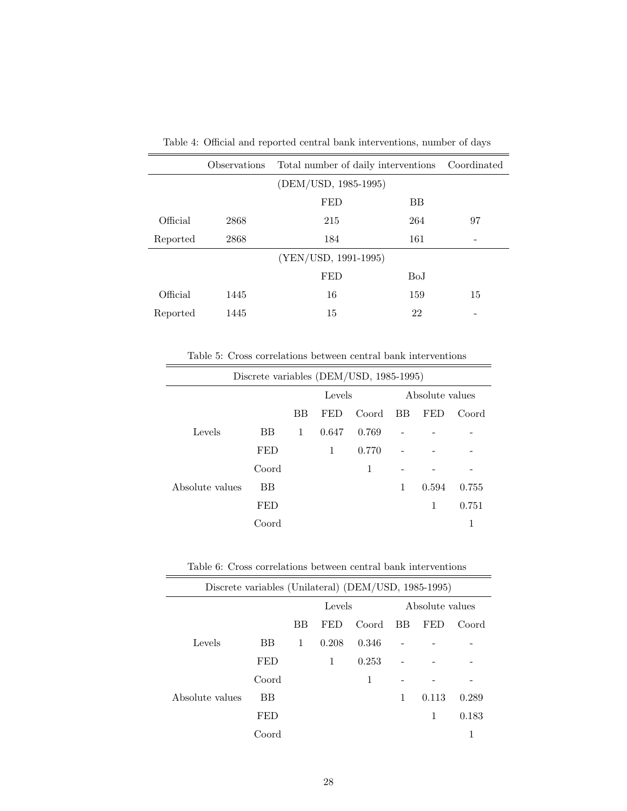|          | Observations | Total number of daily interventions | Coordinated |    |
|----------|--------------|-------------------------------------|-------------|----|
|          |              | (DEM/USD, 1985-1995)                |             |    |
|          |              | <b>FED</b>                          | ΒB          |    |
| Official | 2868         | 215                                 | 264         | 97 |
| Reported | 2868         | 184                                 | 161         |    |
|          |              | (YEN/USD, 1991-1995)                |             |    |
|          |              | <b>FED</b>                          | BoJ         |    |
| Official | 1445         | 16                                  | 159         | 15 |
| Reported | 1445         | 15                                  | 22          |    |

Table 4: Official and reported central bank interventions, number of days

Table 5: Cross correlations between central bank interventions

| Discrete variables (DEM/USD, 1985-1995) |            |        |       |       |                 |            |       |
|-----------------------------------------|------------|--------|-------|-------|-----------------|------------|-------|
|                                         |            | Levels |       |       | Absolute values |            |       |
|                                         |            | BB     | FED   | Coord | BB              | <b>FED</b> | Coord |
| Levels                                  | <b>BB</b>  | 1      | 0.647 | 0.769 |                 |            |       |
|                                         | <b>FED</b> |        | 1     | 0.770 |                 |            |       |
|                                         | Coord      |        |       | 1     |                 |            |       |
| Absolute values                         | <b>BB</b>  |        |       |       | 1               | 0.594      | 0.755 |
|                                         | <b>FED</b> |        |       |       |                 | 1          | 0.751 |
|                                         | Coord      |        |       |       |                 |            | 1     |

Table 6: Cross correlations between central bank interventions

| Discrete variables (Unilateral) (DEM/USD, 1985-1995) |            |        |       |       |                 |       |       |
|------------------------------------------------------|------------|--------|-------|-------|-----------------|-------|-------|
|                                                      |            | Levels |       |       | Absolute values |       |       |
|                                                      |            | BB     | FED   | Coord | BB              | FED   | Coord |
| Levels                                               | <b>BB</b>  | 1      | 0.208 | 0.346 |                 |       |       |
|                                                      | <b>FED</b> |        | 1     | 0.253 |                 |       |       |
|                                                      | Coord      |        |       | 1     |                 |       |       |
| Absolute values                                      | <b>BB</b>  |        |       |       | 1               | 0.113 | 0.289 |
|                                                      | <b>FED</b> |        |       |       |                 | 1     | 0.183 |
|                                                      | Coord      |        |       |       |                 |       |       |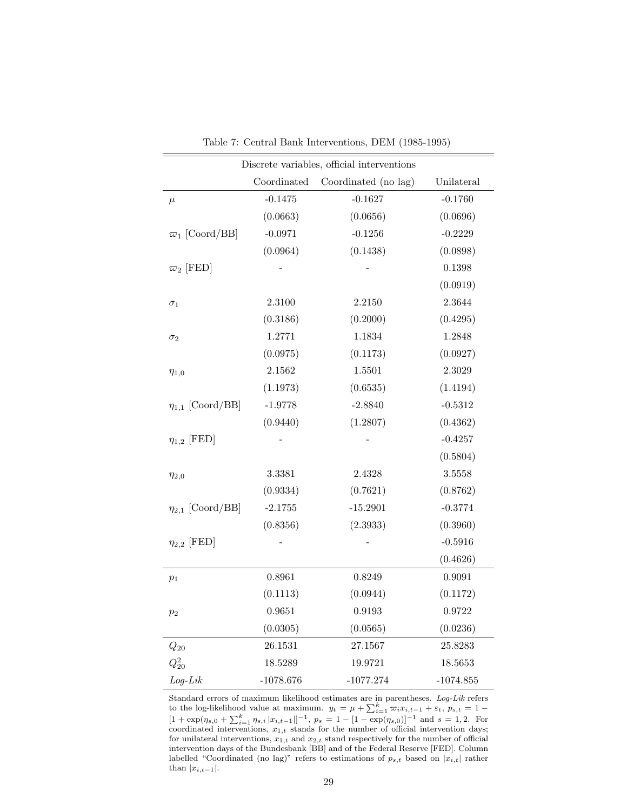|                         | Discrete variables, official interventions |                      |             |  |  |  |
|-------------------------|--------------------------------------------|----------------------|-------------|--|--|--|
|                         | Coordinated                                | Coordinated (no lag) | Unilateral  |  |  |  |
| $\mu$                   | $-0.1475$                                  | $-0.1627$            | $-0.1760$   |  |  |  |
|                         | (0.0663)                                   | (0.0656)             | (0.0696)    |  |  |  |
| $\varpi_1$ [Coord/BB]   | $-0.0971$                                  | $-0.1256$            | $-0.2229$   |  |  |  |
|                         | (0.0964)                                   | (0.1438)             | (0.0898)    |  |  |  |
| $\varpi_2$ [FED]        |                                            |                      | 0.1398      |  |  |  |
|                         |                                            |                      | (0.0919)    |  |  |  |
| $\sigma_1$              | 2.3100                                     | 2.2150               | 2.3644      |  |  |  |
|                         | (0.3186)                                   | (0.2000)             | (0.4295)    |  |  |  |
| $\sigma_2$              | 1.2771                                     | 1.1834               | 1.2848      |  |  |  |
|                         | (0.0975)                                   | (0.1173)             | (0.0927)    |  |  |  |
| $\eta_{1,0}$            | $2.1562\,$                                 | 1.5501               | 2.3029      |  |  |  |
|                         | (1.1973)                                   | (0.6535)             | (1.4194)    |  |  |  |
| $\eta_{1,1}$ [Coord/BB] | $-1.9778$                                  | $-2.8840$            | $-0.5312$   |  |  |  |
|                         | (0.9440)                                   | (1.2807)             | (0.4362)    |  |  |  |
| $\eta_{1,2}$ [FED]      |                                            |                      | $-0.4257$   |  |  |  |
|                         |                                            |                      | (0.5804)    |  |  |  |
| $\eta_{2,0}$            | 3.3381                                     | 2.4328               | 3.5558      |  |  |  |
|                         | (0.9334)                                   | (0.7621)             | (0.8762)    |  |  |  |
| $\eta_{2,1}$ [Coord/BB] | $-2.1755$                                  | $-15.2901$           | $-0.3774$   |  |  |  |
|                         | (0.8356)                                   | (2.3933)             | (0.3960)    |  |  |  |
| $\eta_{2,2}$ [FED]      |                                            |                      | $-0.5916$   |  |  |  |
|                         |                                            |                      | (0.4626)    |  |  |  |
| $p_1$                   | 0.8961                                     | 0.8249               | 0.9091      |  |  |  |
|                         | (0.1113)                                   | (0.0944)             | (0.1172)    |  |  |  |
| $p_2$                   | 0.9651                                     | 0.9193               | 0.9722      |  |  |  |
|                         | (0.0305)                                   | (0.0565)             | (0.0236)    |  |  |  |
| $Q_{20}$                | 26.1531                                    | 27.1567              | 25.8283     |  |  |  |
| $Q_{20}^2$              | 18.5289                                    | 19.9721              | 18.5653     |  |  |  |
| $Log-Lik$               | $-1078.676$                                | $-1077.274$          | $-1074.855$ |  |  |  |

Table 7: Central Bank Interventions, DEM (1985-1995)

Standard errors of maximum likelihood estimates are in parentheses. Log-Lik refers to the log-likelihood value at maximum.  $y_t = \mu + \sum_{i=1}^k \overline{\omega_i} x_{i,t-1} + \varepsilon_t$ ,  $p_{s,t} = 1 [1 + \exp(\eta_{s,0} + \sum_{i=1}^k \eta_{s,i} |x_{i,t-1}|]^{-1}, p_s = 1 - [1 - \exp(\eta_{s,0})]^{-1}$  and  $s = 1,2$ . For coordinated interventions,  $x_{1,t}$  stands for the number of official intervention days; for unilateral interventions,  $x_{1,t}$  and  $x_{2,t}$  stand respectively for the number of official intervention days of the Bundesbank [BB] and of the Federal Reserve [FED]. Column labelled "Coordinated (no lag)" refers to estimations of  $p_{s,t}$  based on  $|x_{i,t}|$  rather than  $|x_{i,t-1}|$ .